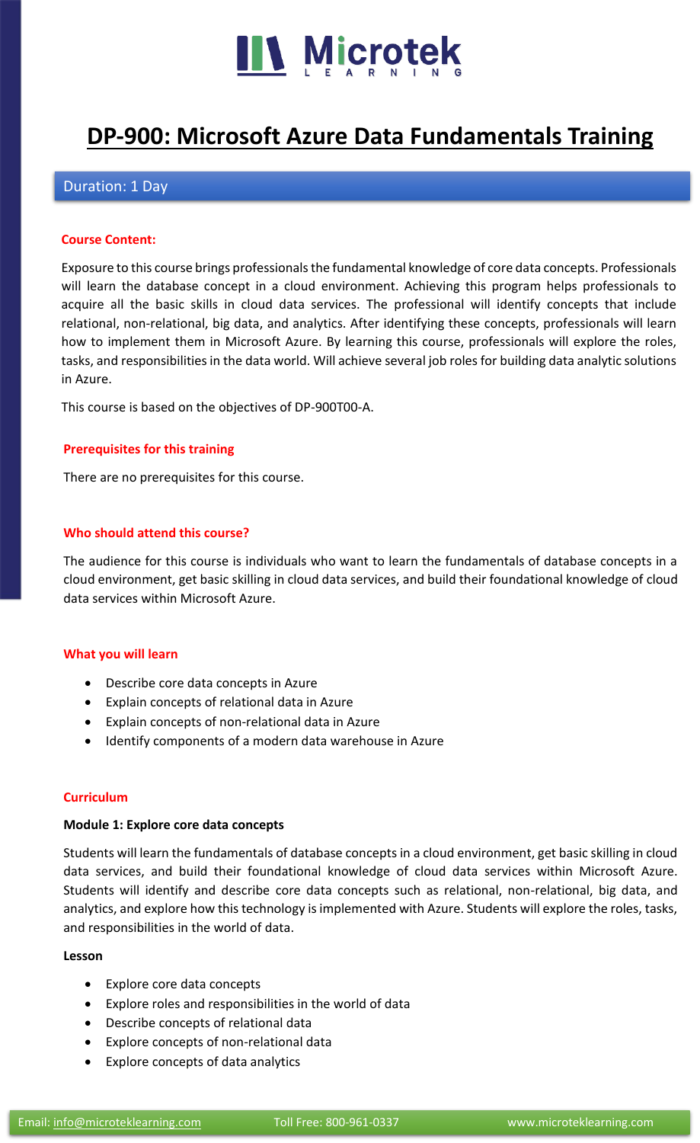

# **[DP-900: Microsoft Azure Data Fundamentals Training](https://www.microteklearning.com/dp900-microsoft-azure-data-fundamentals-training/)**

# Duration: 1 Day

## **Course Content:**

Exposure to this course brings professionals the fundamental knowledge of core data concepts. Professionals will learn the database concept in a cloud environment. Achieving this program helps professionals to acquire all the basic skills in cloud data services. The professional will identify concepts that include relational, non-relational, big data, and analytics. After identifying these concepts, professionals will learn how to implement them in Microsoft Azure. By learning this course, professionals will explore the roles, tasks, and responsibilities in the data world. Will achieve several job roles for building data analytic solutions in Azure.

This course is based on the objectives of DP-900T00-A.

#### **Prerequisites for this training**

There are no prerequisites for this course.

#### **Who should attend this course?**

The audience for this course is individuals who want to learn the fundamentals of database concepts in a cloud environment, get basic skilling in cloud data services, and build their foundational knowledge of cloud data services within Microsoft Azure.

#### **What you will learn**

- Describe core data concepts in Azure
- Explain concepts of relational data in Azure
- Explain concepts of non-relational data in Azure
- Identify components of a modern data warehouse in Azure

#### **Curriculum**

#### **Module 1: Explore core data concepts**

Students will learn the fundamentals of database concepts in a cloud environment, get basic skilling in cloud data services, and build their foundational knowledge of cloud data services within Microsoft Azure. Students will identify and describe core data concepts such as relational, non-relational, big data, and analytics, and explore how this technology is implemented with Azure. Students will explore the roles, tasks, and responsibilities in the world of data.

#### **Lesson**

- Explore core data concepts
- Explore roles and responsibilities in the world of data
- Describe concepts of relational data
- Explore concepts of non-relational data
- Explore concepts of data analytics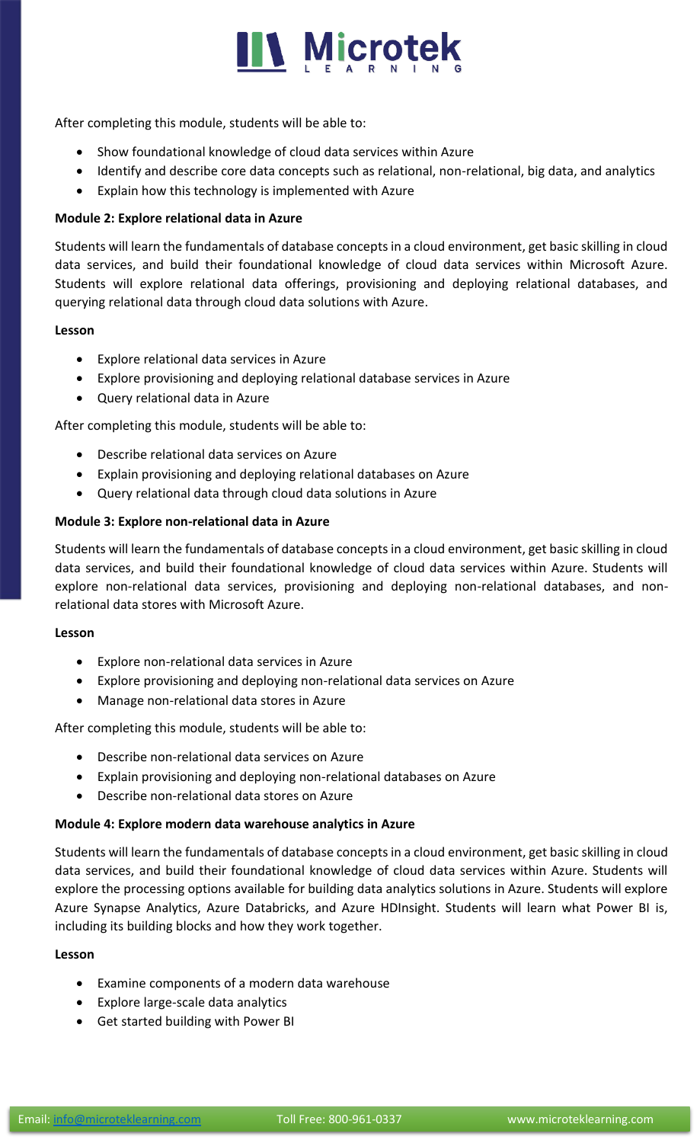

After completing this module, students will be able to:

- Show foundational knowledge of cloud data services within Azure
- Identify and describe core data concepts such as relational, non-relational, big data, and analytics
- Explain how this technology is implemented with Azure

## **Module 2: Explore relational data in Azure**

Students will learn the fundamentals of database concepts in a cloud environment, get basic skilling in cloud data services, and build their foundational knowledge of cloud data services within Microsoft Azure. Students will explore relational data offerings, provisioning and deploying relational databases, and querying relational data through cloud data solutions with Azure.

## **Lesson**

- Explore relational data services in Azure
- Explore provisioning and deploying relational database services in Azure
- Query relational data in Azure

After completing this module, students will be able to:

- Describe relational data services on Azure
- Explain provisioning and deploying relational databases on Azure
- Query relational data through cloud data solutions in Azure

## **Module 3: Explore non-relational data in Azure**

Students will learn the fundamentals of database concepts in a cloud environment, get basic skilling in cloud data services, and build their foundational knowledge of cloud data services within Azure. Students will explore non-relational data services, provisioning and deploying non-relational databases, and nonrelational data stores with Microsoft Azure.

## **Lesson**

- Explore non-relational data services in Azure
- Explore provisioning and deploying non-relational data services on Azure
- Manage non-relational data stores in Azure

After completing this module, students will be able to:

- Describe non-relational data services on Azure
- Explain provisioning and deploying non-relational databases on Azure
- Describe non-relational data stores on Azure

## **Module 4: Explore modern data warehouse analytics in Azure**

Students will learn the fundamentals of database concepts in a cloud environment, get basic skilling in cloud data services, and build their foundational knowledge of cloud data services within Azure. Students will explore the processing options available for building data analytics solutions in Azure. Students will explore Azure Synapse Analytics, Azure Databricks, and Azure HDInsight. Students will learn what Power BI is, including its building blocks and how they work together.

## **Lesson**

- Examine components of a modern data warehouse
- Explore large-scale data analytics
- Get started building with Power BI